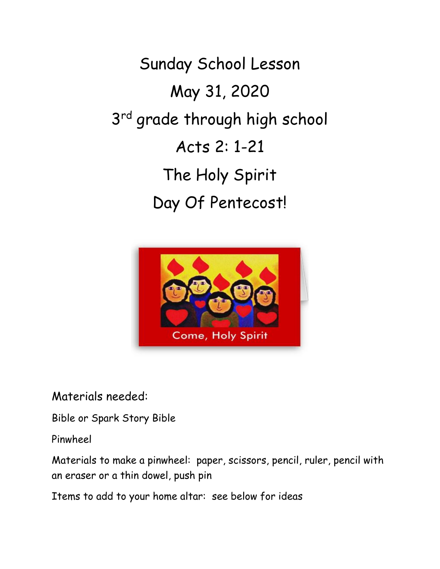Sunday School Lesson May 31, 2020 3<sup>rd</sup> grade through high school Acts 2: 1-21 The Holy Spirit Day Of Pentecost!



Materials needed:

Bible or Spark Story Bible

Pinwheel

Materials to make a pinwheel: paper, scissors, pencil, ruler, pencil with an eraser or a thin dowel, push pin

Items to add to your home altar: see below for ideas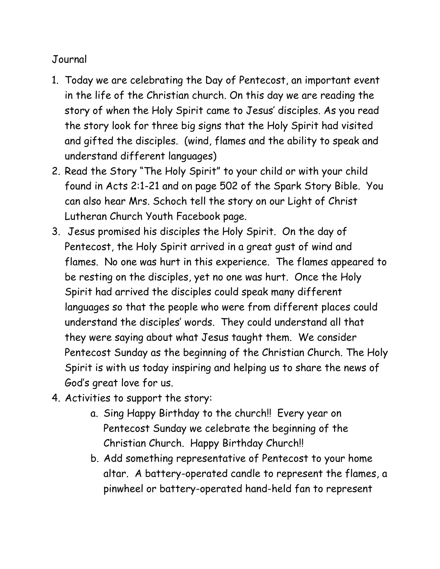## Journal

- 1. Today we are celebrating the Day of Pentecost, an important event in the life of the Christian church. On this day we are reading the story of when the Holy Spirit came to Jesus' disciples. As you read the story look for three big signs that the Holy Spirit had visited and gifted the disciples. (wind, flames and the ability to speak and understand different languages)
- 2. Read the Story "The Holy Spirit" to your child or with your child found in Acts 2:1-21 and on page 502 of the Spark Story Bible. You can also hear Mrs. Schoch tell the story on our Light of Christ Lutheran Church Youth Facebook page.
- 3. Jesus promised his disciples the Holy Spirit. On the day of Pentecost, the Holy Spirit arrived in a great gust of wind and flames. No one was hurt in this experience. The flames appeared to be resting on the disciples, yet no one was hurt. Once the Holy Spirit had arrived the disciples could speak many different languages so that the people who were from different places could understand the disciples' words. They could understand all that they were saying about what Jesus taught them. We consider Pentecost Sunday as the beginning of the Christian Church. The Holy Spirit is with us today inspiring and helping us to share the news of God's great love for us.
- 4. Activities to support the story:
	- a. Sing Happy Birthday to the church!! Every year on Pentecost Sunday we celebrate the beginning of the Christian Church. Happy Birthday Church!!
	- b. Add something representative of Pentecost to your home altar. A battery-operated candle to represent the flames, a pinwheel or battery-operated hand-held fan to represent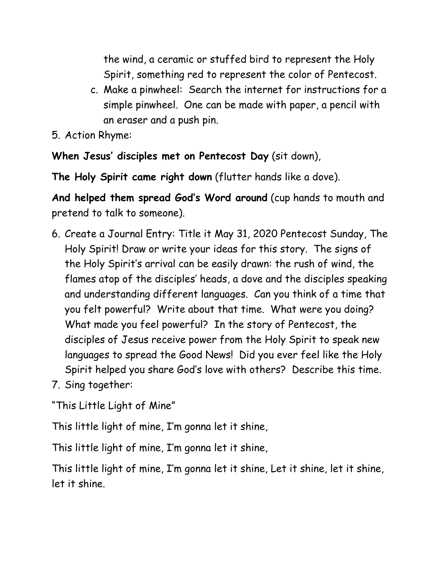the wind, a ceramic or stuffed bird to represent the Holy Spirit, something red to represent the color of Pentecost.

- c. Make a pinwheel: Search the internet for instructions for a simple pinwheel. One can be made with paper, a pencil with an eraser and a push pin.
- 5. Action Rhyme:

**When Jesus' disciples met on Pentecost Day** (sit down),

**The Holy Spirit came right down** (flutter hands like a dove).

**And helped them spread God's Word around** (cup hands to mouth and pretend to talk to someone).

- 6. Create a Journal Entry: Title it May 31, 2020 Pentecost Sunday, The Holy Spirit! Draw or write your ideas for this story. The signs of the Holy Spirit's arrival can be easily drawn: the rush of wind, the flames atop of the disciples' heads, a dove and the disciples speaking and understanding different languages. Can you think of a time that you felt powerful? Write about that time. What were you doing? What made you feel powerful? In the story of Pentecost, the disciples of Jesus receive power from the Holy Spirit to speak new languages to spread the Good News! Did you ever feel like the Holy Spirit helped you share God's love with others? Describe this time.
- 7. Sing together:

"This Little Light of Mine"

This little light of mine, I'm gonna let it shine,

This little light of mine, I'm gonna let it shine,

This little light of mine, I'm gonna let it shine, Let it shine, let it shine, let it shine.